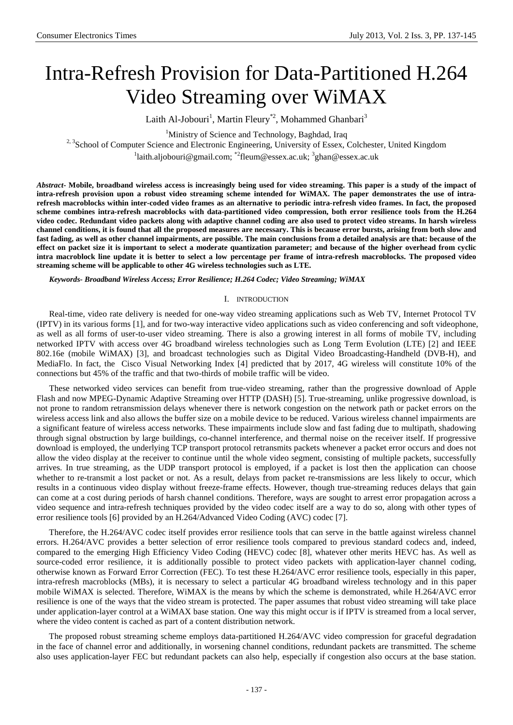# Intra-Refresh Provision for Data-Partitioned H.264 Video Streaming over WiMAX

Laith Al-Jobouri<sup>1</sup>, Martin Fleury<sup>\*2</sup>, Mohammed Ghanbari<sup>3</sup>

<sup>1</sup>Ministry of Science and Technology, Baghdad, Iraq

<sup>2, 3</sup>School of Computer Science and Electronic Engineering, University of Essex, Colchester, United Kingdom

<sup>1</sup>laith.aljobouri@gmail.com; \*<sup>2</sup>fleum@essex.ac.uk; <sup>3</sup>ghan@essex.ac.uk

*Abstract***- Mobile, broadband wireless access is increasingly being used for video streaming. This paper is a study of the impact of intra-refresh provision upon a robust video streaming scheme intended for WiMAX. The paper demonstrates the use of intrarefresh macroblocks within inter-coded video frames as an alternative to periodic intra-refresh video frames. In fact, the proposed scheme combines intra-refresh macroblocks with data-partitioned video compression, both error resilience tools from the H.264 video codec. Redundant video packets along with adaptive channel coding are also used to protect video streams. In harsh wireless channel conditions, it is found that all the proposed measures are necessary. This is because error bursts, arising from both slow and fast fading, as well as other channel impairments, are possible. The main conclusions from a detailed analysis are that: because of the effect on packet size it is important to select a moderate quantization parameter; and because of the higher overhead from cyclic intra macroblock line update it is better to select a low percentage per frame of intra-refresh macroblocks. The proposed video streaming scheme will be applicable to other 4G wireless technologies such as LTE.**

*Keywords- Broadband Wireless Access; Error Resilience; H.264 Codec; Video Streaming; WiMAX*

## I. INTRODUCTION

Real-time, video rate delivery is needed for one-way video streaming applications such as Web TV, Internet Protocol TV (IPTV) in its various forms [1], and for two-way interactive video applications such as video conferencing and soft videophone, as well as all forms of user-to-user video streaming. There is also a growing interest in all forms of mobile TV, including networked IPTV with access over 4G broadband wireless technologies such as Long Term Evolution (LTE) [2] and IEEE 802.16e (mobile WiMAX) [3], and broadcast technologies such as Digital Video Broadcasting-Handheld (DVB-H), and MediaFlo. In fact, the Cisco Visual Networking Index [4] predicted that by 2017, 4G wireless will constitute 10% of the connections but 45% of the traffic and that two-thirds of mobile traffic will be video.

These networked video services can benefit from true-video streaming, rather than the progressive download of Apple Flash and now MPEG-Dynamic Adaptive Streaming over HTTP (DASH) [5]. True-streaming, unlike progressive download, is not prone to random retransmission delays whenever there is network congestion on the network path or packet errors on the wireless access link and also allows the buffer size on a mobile device to be reduced. Various wireless channel impairments are a significant feature of wireless access networks. These impairments include slow and fast fading due to multipath, shadowing through signal obstruction by large buildings, co-channel interference, and thermal noise on the receiver itself. If progressive download is employed, the underlying TCP transport protocol retransmits packets whenever a packet error occurs and does not allow the video display at the receiver to continue until the whole video segment, consisting of multiple packets, successfully arrives. In true streaming, as the UDP transport protocol is employed, if a packet is lost then the application can choose whether to re-transmit a lost packet or not. As a result, delays from packet re-transmissions are less likely to occur, which results in a continuous video display without freeze-frame effects. However, though true-streaming reduces delays that gain can come at a cost during periods of harsh channel conditions. Therefore, ways are sought to arrest error propagation across a video sequence and intra-refresh techniques provided by the video codec itself are a way to do so, along with other types of error resilience tools [6] provided by an H.264/Advanced Video Coding (AVC) codec [7].

Therefore, the H.264/AVC codec itself provides error resilience tools that can serve in the battle against wireless channel errors. H.264/AVC provides a better selection of error resilience tools compared to previous standard codecs and, indeed, compared to the emerging High Efficiency Video Coding (HEVC) codec [8], whatever other merits HEVC has. As well as source-coded error resilience, it is additionally possible to protect video packets with application-layer channel coding, otherwise known as Forward Error Correction (FEC). To test these H.264/AVC error resilience tools, especially in this paper, intra-refresh macroblocks (MBs), it is necessary to select a particular 4G broadband wireless technology and in this paper mobile WiMAX is selected. Therefore, WiMAX is the means by which the scheme is demonstrated, while H.264/AVC error resilience is one of the ways that the video stream is protected. The paper assumes that robust video streaming will take place under application-layer control at a WiMAX base station. One way this might occur is if IPTV is streamed from a local server, where the video content is cached as part of a content distribution network.

The proposed robust streaming scheme employs data-partitioned H.264/AVC video compression for graceful degradation in the face of channel error and additionally, in worsening channel conditions, redundant packets are transmitted. The scheme also uses application-layer FEC but redundant packets can also help, especially if congestion also occurs at the base station.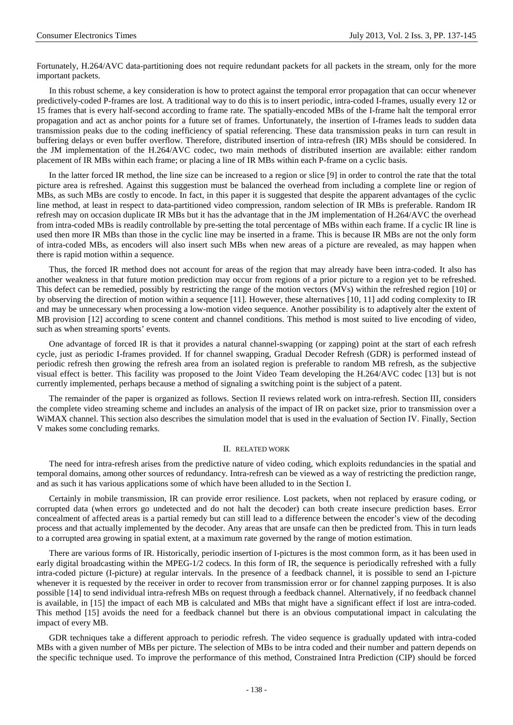Fortunately, H.264/AVC data-partitioning does not require redundant packets for all packets in the stream, only for the more important packets.

In this robust scheme, a key consideration is how to protect against the temporal error propagation that can occur whenever predictively-coded P-frames are lost. A traditional way to do this is to insert periodic, intra-coded I-frames, usually every 12 or 15 frames that is every half-second according to frame rate. The spatially-encoded MBs of the I-frame halt the temporal error propagation and act as anchor points for a future set of frames. Unfortunately, the insertion of I-frames leads to sudden data transmission peaks due to the coding inefficiency of spatial referencing. These data transmission peaks in turn can result in buffering delays or even buffer overflow. Therefore, distributed insertion of intra-refresh (IR) MBs should be considered. In the JM implementation of the H.264/AVC codec, two main methods of distributed insertion are available: either random placement of IR MBs within each frame; or placing a line of IR MBs within each P-frame on a cyclic basis.

In the latter forced IR method, the line size can be increased to a region or slice [9] in order to control the rate that the total picture area is refreshed. Against this suggestion must be balanced the overhead from including a complete line or region of MBs, as such MBs are costly to encode. In fact, in this paper it is suggested that despite the apparent advantages of the cyclic line method, at least in respect to data-partitioned video compression, random selection of IR MBs is preferable. Random IR refresh may on occasion duplicate IR MBs but it has the advantage that in the JM implementation of H.264/AVC the overhead from intra-coded MBs is readily controllable by pre-setting the total percentage of MBs within each frame. If a cyclic IR line is used then more IR MBs than those in the cyclic line may be inserted in a frame. This is because IR MBs are not the only form of intra-coded MBs, as encoders will also insert such MBs when new areas of a picture are revealed, as may happen when there is rapid motion within a sequence.

Thus, the forced IR method does not account for areas of the region that may already have been intra-coded. It also has another weakness in that future motion prediction may occur from regions of a prior picture to a region yet to be refreshed. This defect can be remedied, possibly by restricting the range of the motion vectors (MVs) within the refreshed region [10] or by observing the direction of motion within a sequence [11]. However, these alternatives [10, 11] add coding complexity to IR and may be unnecessary when processing a low-motion video sequence. Another possibility is to adaptively alter the extent of MB provision [12] according to scene content and channel conditions. This method is most suited to live encoding of video, such as when streaming sports' events.

One advantage of forced IR is that it provides a natural channel-swapping (or zapping) point at the start of each refresh cycle, just as periodic I-frames provided. If for channel swapping, Gradual Decoder Refresh (GDR) is performed instead of periodic refresh then growing the refresh area from an isolated region is preferable to random MB refresh, as the subjective visual effect is better. This facility was proposed to the Joint Video Team developing the H.264/AVC codec [13] but is not currently implemented, perhaps because a method of signaling a switching point is the subject of a patent.

The remainder of the paper is organized as follows. Section II reviews related work on intra-refresh. Section III, considers the complete video streaming scheme and includes an analysis of the impact of IR on packet size, prior to transmission over a WiMAX channel. This section also describes the simulation model that is used in the evaluation of Section IV. Finally, Section V makes some concluding remarks.

## II. RELATED WORK

The need for intra-refresh arises from the predictive nature of video coding, which exploits redundancies in the spatial and temporal domains, among other sources of redundancy. Intra-refresh can be viewed as a way of restricting the prediction range, and as such it has various applications some of which have been alluded to in the Section I.

Certainly in mobile transmission, IR can provide error resilience. Lost packets, when not replaced by erasure coding, or corrupted data (when errors go undetected and do not halt the decoder) can both create insecure prediction bases. Error concealment of affected areas is a partial remedy but can still lead to a difference between the encoder's view of the decoding process and that actually implemented by the decoder. Any areas that are unsafe can then be predicted from. This in turn leads to a corrupted area growing in spatial extent, at a maximum rate governed by the range of motion estimation.

There are various forms of IR. Historically, periodic insertion of I-pictures is the most common form, as it has been used in early digital broadcasting within the MPEG-1/2 codecs. In this form of IR, the sequence is periodically refreshed with a fully intra-coded picture (I-picture) at regular intervals. In the presence of a feedback channel, it is possible to send an I-picture whenever it is requested by the receiver in order to recover from transmission error or for channel zapping purposes. It is also possible [14] to send individual intra-refresh MBs on request through a feedback channel. Alternatively, if no feedback channel is available, in [15] the impact of each MB is calculated and MBs that might have a significant effect if lost are intra-coded. This method [15] avoids the need for a feedback channel but there is an obvious computational impact in calculating the impact of every MB.

GDR techniques take a different approach to periodic refresh. The video sequence is gradually updated with intra-coded MBs with a given number of MBs per picture. The selection of MBs to be intra coded and their number and pattern depends on the specific technique used. To improve the performance of this method, Constrained Intra Prediction (CIP) should be forced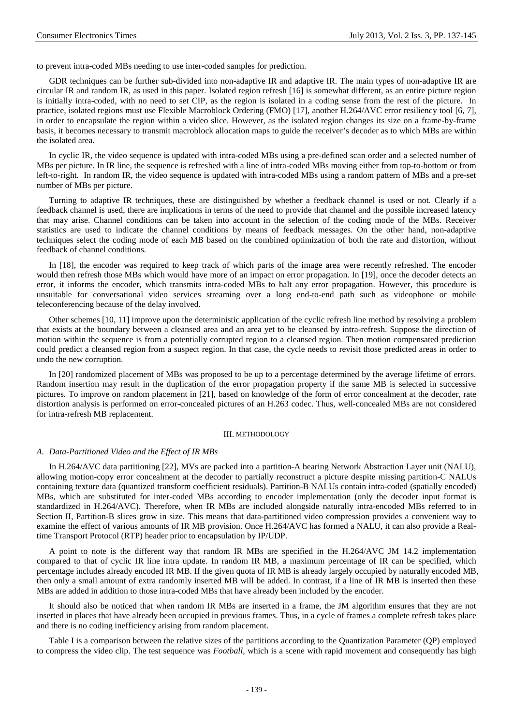to prevent intra-coded MBs needing to use inter-coded samples for prediction.

GDR techniques can be further sub-divided into non-adaptive IR and adaptive IR. The main types of non-adaptive IR are circular IR and random IR, as used in this paper. Isolated region refresh [16] is somewhat different, as an entire picture region is initially intra-coded, with no need to set CIP, as the region is isolated in a coding sense from the rest of the picture. In practice, isolated regions must use Flexible Macroblock Ordering (FMO) [17], another H.264/AVC error resiliency tool [6, 7], in order to encapsulate the region within a video slice. However, as the isolated region changes its size on a frame-by-frame basis, it becomes necessary to transmit macroblock allocation maps to guide the receiver's decoder as to which MBs are within the isolated area.

In cyclic IR, the video sequence is updated with intra-coded MBs using a pre-defined scan order and a selected number of MBs per picture. In IR line, the sequence is refreshed with a line of intra-coded MBs moving either from top-to-bottom or from left-to-right. In random IR, the video sequence is updated with intra-coded MBs using a random pattern of MBs and a pre-set number of MBs per picture.

Turning to adaptive IR techniques, these are distinguished by whether a feedback channel is used or not. Clearly if a feedback channel is used, there are implications in terms of the need to provide that channel and the possible increased latency that may arise. Channel conditions can be taken into account in the selection of the coding mode of the MBs. Receiver statistics are used to indicate the channel conditions by means of feedback messages. On the other hand, non-adaptive techniques select the coding mode of each MB based on the combined optimization of both the rate and distortion, without feedback of channel conditions.

In [18], the encoder was required to keep track of which parts of the image area were recently refreshed. The encoder would then refresh those MBs which would have more of an impact on error propagation. In [19], once the decoder detects an error, it informs the encoder, which transmits intra-coded MBs to halt any error propagation. However, this procedure is unsuitable for conversational video services streaming over a long end-to-end path such as videophone or mobile teleconferencing because of the delay involved.

Other schemes [10, 11] improve upon the deterministic application of the cyclic refresh line method by resolving a problem that exists at the boundary between a cleansed area and an area yet to be cleansed by intra-refresh. Suppose the direction of motion within the sequence is from a potentially corrupted region to a cleansed region. Then motion compensated prediction could predict a cleansed region from a suspect region. In that case, the cycle needs to revisit those predicted areas in order to undo the new corruption.

In [20] randomized placement of MBs was proposed to be up to a percentage determined by the average lifetime of errors. Random insertion may result in the duplication of the error propagation property if the same MB is selected in successive pictures. To improve on random placement in [21], based on knowledge of the form of error concealment at the decoder, rate distortion analysis is performed on error-concealed pictures of an H.263 codec. Thus, well-concealed MBs are not considered for intra-refresh MB replacement.

#### III. METHODOLOGY

# *A. Data-Partitioned Video and the Effect of IR MBs*

In H.264/AVC data partitioning [22], MVs are packed into a partition-A bearing Network Abstraction Layer unit (NALU), allowing motion-copy error concealment at the decoder to partially reconstruct a picture despite missing partition-C NALUs containing texture data (quantized transform coefficient residuals). Partition-B NALUs contain intra-coded (spatially encoded) MBs, which are substituted for inter-coded MBs according to encoder implementation (only the decoder input format is standardized in H.264/AVC). Therefore, when IR MBs are included alongside naturally intra-encoded MBs referred to in Section II, Partition-B slices grow in size. This means that data-partitioned video compression provides a convenient way to examine the effect of various amounts of IR MB provision. Once H.264/AVC has formed a NALU, it can also provide a Realtime Transport Protocol (RTP) header prior to encapsulation by IP/UDP.

A point to note is the different way that random IR MBs are specified in the H.264/AVC JM 14.2 implementation compared to that of cyclic IR line intra update. In random IR MB, a maximum percentage of IR can be specified, which percentage includes already encoded IR MB. If the given quota of IR MB is already largely occupied by naturally encoded MB, then only a small amount of extra randomly inserted MB will be added. In contrast, if a line of IR MB is inserted then these MBs are added in addition to those intra-coded MBs that have already been included by the encoder.

It should also be noticed that when random IR MBs are inserted in a frame, the JM algorithm ensures that they are not inserted in places that have already been occupied in previous frames. Thus, in a cycle of frames a complete refresh takes place and there is no coding inefficiency arising from random placement.

Table I is a comparison between the relative sizes of the partitions according to the Quantization Parameter (QP) employed to compress the video clip. The test sequence was *Football*, which is a scene with rapid movement and consequently has high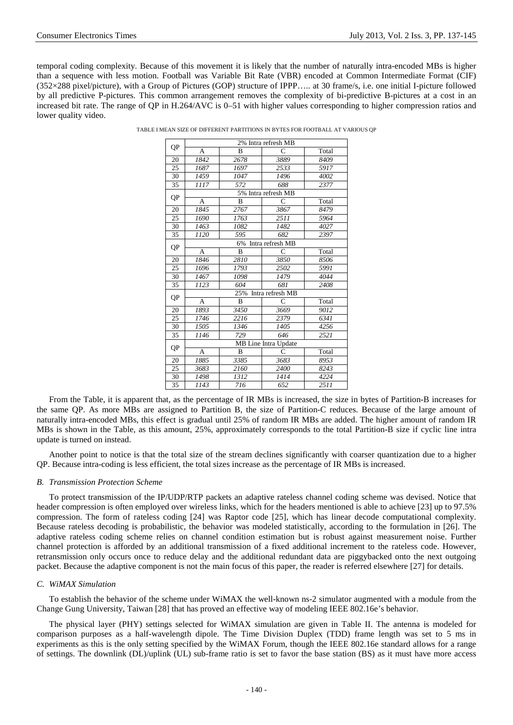temporal coding complexity. Because of this movement it is likely that the number of naturally intra-encoded MBs is higher than a sequence with less motion. Football was Variable Bit Rate (VBR) encoded at Common Intermediate Format (CIF) (352×288 pixel/picture), with a Group of Pictures (GOP) structure of IPPP….. at 30 frame/s, i.e. one initial I-picture followed by all predictive P-pictures. This common arrangement removes the complexity of bi-predictive B-pictures at a cost in an increased bit rate. The range of QP in H.264/AVC is 0–51 with higher values corresponding to higher compression ratios and lower quality video.

| TABLE I MEAN SIZE OF DIFFERENT PARTITIONS IN BYTES FOR FOOTBALL AT VARIOUS QP |  |
|-------------------------------------------------------------------------------|--|

| QP | 2% Intra refresh MB    |                     |      |       |  |  |  |  |
|----|------------------------|---------------------|------|-------|--|--|--|--|
|    | A                      | $\overline{B}$      | C    | Total |  |  |  |  |
| 20 | 1842                   | 2678                | 3889 | 8409  |  |  |  |  |
| 25 | 1687                   | 1697                | 2533 | 5917  |  |  |  |  |
| 30 | 1459                   | 1047                | 1496 | 4002  |  |  |  |  |
| 35 | 1117                   | 572                 | 688  | 2377  |  |  |  |  |
| QP |                        | 5% Intra refresh MB |      |       |  |  |  |  |
|    | A                      | B                   | C    | Total |  |  |  |  |
| 20 | 1845                   | 2767                | 3867 | 8479  |  |  |  |  |
| 25 | 1690                   | 1763                | 2511 | 5964  |  |  |  |  |
| 30 | 1463                   | 1082                | 1482 | 4027  |  |  |  |  |
| 35 | 1120                   | 595                 | 682  | 2397  |  |  |  |  |
|    | Intra refresh MB<br>6% |                     |      |       |  |  |  |  |
| QP | A                      | B                   | C    | Total |  |  |  |  |
| 20 | 1846                   | 2810                | 3850 | 8506  |  |  |  |  |
| 25 | 1696                   | 1793                | 2502 | 5991  |  |  |  |  |
| 30 | 1467                   | 1098                | 1479 | 4044  |  |  |  |  |
| 35 | 1123                   | 604                 | 681  | 2408  |  |  |  |  |
| QP | 25% Intra refresh MB   |                     |      |       |  |  |  |  |
|    | A                      | B                   | C    | Total |  |  |  |  |
| 20 | 1893                   | 3450                | 3669 | 9012  |  |  |  |  |
| 25 | 1746                   | 2216                | 2379 | 6341  |  |  |  |  |
| 30 | 1505                   | 1346                | 1405 | 4256  |  |  |  |  |
| 35 | 1146                   | 729                 | 646  | 2521  |  |  |  |  |
| QP | MB Line Intra Update   |                     |      |       |  |  |  |  |
|    | A                      | B                   | C    | Total |  |  |  |  |
| 20 | 1885                   | 3385                | 3683 | 8953  |  |  |  |  |
| 25 | 3683                   | 2160                | 2400 | 8243  |  |  |  |  |
| 30 | 1498                   | 1312                | 1414 | 4224  |  |  |  |  |
| 35 | 1143                   | 716                 | 652  | 2511  |  |  |  |  |

From the Table, it is apparent that, as the percentage of IR MBs is increased, the size in bytes of Partition-B increases for the same QP. As more MBs are assigned to Partition B, the size of Partition-C reduces. Because of the large amount of naturally intra-encoded MBs, this effect is gradual until 25% of random IR MBs are added. The higher amount of random IR MBs is shown in the Table, as this amount, 25%, approximately corresponds to the total Partition-B size if cyclic line intra update is turned on instead.

Another point to notice is that the total size of the stream declines significantly with coarser quantization due to a higher QP. Because intra-coding is less efficient, the total sizes increase as the percentage of IR MBs is increased.

# *B. Transmission Protection Scheme*

To protect transmission of the IP/UDP/RTP packets an adaptive rateless channel coding scheme was devised. Notice that header compression is often employed over wireless links, which for the headers mentioned is able to achieve [23] up to 97.5% compression. The form of rateless coding [24] was Raptor code [25], which has linear decode computational complexity. Because rateless decoding is probabilistic, the behavior was modeled statistically, according to the formulation in [26]. The adaptive rateless coding scheme relies on channel condition estimation but is robust against measurement noise. Further channel protection is afforded by an additional transmission of a fixed additional increment to the rateless code. However, retransmission only occurs once to reduce delay and the additional redundant data are piggybacked onto the next outgoing packet. Because the adaptive component is not the main focus of this paper, the reader is referred elsewhere [27] for details.

# *C. WiMAX Simulation*

To establish the behavior of the scheme under WiMAX the well-known ns-2 simulator augmented with a module from the Change Gung University, Taiwan [28] that has proved an effective way of modeling IEEE 802.16e's behavior.

The physical layer (PHY) settings selected for WiMAX simulation are given in Table II. The antenna is modeled for comparison purposes as a half-wavelength dipole. The Time Division Duplex (TDD) frame length was set to 5 ms in experiments as this is the only setting specified by the WiMAX Forum, though the IEEE 802.16e standard allows for a range of settings. The downlink (DL)/uplink (UL) sub-frame ratio is set to favor the base station (BS) as it must have more access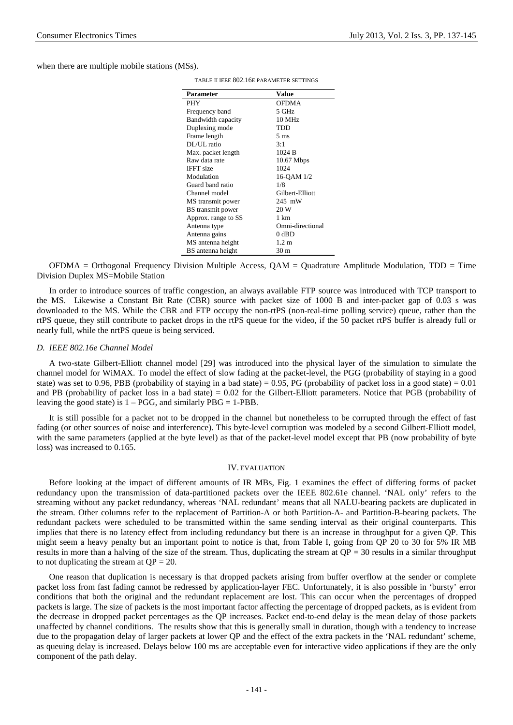when there are multiple mobile stations (MSs).

| Parameter           | <b>Value</b>     |
|---------------------|------------------|
| <b>PHY</b>          | <b>OFDMA</b>     |
| Frequency band      | 5 GHz            |
| Bandwidth capacity  | 10 MHz           |
| Duplexing mode      | TDD              |
| Frame length        | $5 \text{ ms}$   |
| DL/UL ratio         | 3:1              |
| Max. packet length  | 1024 B           |
| Raw data rate       | $10.67$ Mbps     |
| <b>IFFT</b> size    | 1024             |
| Modulation          | 16-QAM 1/2       |
| Guard band ratio    | 1/8              |
| Channel model       | Gilbert-Elliott  |
| MS transmit power   | 245 mW           |
| BS transmit power   | 20 W             |
| Approx. range to SS | 1 km             |
| Antenna type        | Omni-directional |
| Antenna gains       | $0$ dBD          |
| MS antenna height   | $1.2 \text{ m}$  |
| BS antenna height   | 30 m             |

TABLE II IEEE 802.16E PARAMETER SETTINGS

OFDMA = Orthogonal Frequency Division Multiple Access, QAM = Quadrature Amplitude Modulation, TDD = Time Division Duplex MS=Mobile Station

In order to introduce sources of traffic congestion, an always available FTP source was introduced with TCP transport to the MS. Likewise a Constant Bit Rate (CBR) source with packet size of 1000 B and inter-packet gap of 0.03 s was downloaded to the MS. While the CBR and FTP occupy the non-rtPS (non-real-time polling service) queue, rather than the rtPS queue, they still contribute to packet drops in the rtPS queue for the video, if the 50 packet rtPS buffer is already full or nearly full, while the nrtPS queue is being serviced.

## *D. IEEE 802.16e Channel Model*

A two-state Gilbert-Elliott channel model [29] was introduced into the physical layer of the simulation to simulate the channel model for WiMAX. To model the effect of slow fading at the packet-level, the PGG (probability of staying in a good state) was set to 0.96, PBB (probability of staying in a bad state) = 0.95, PG (probability of packet loss in a good state) =  $0.01$ and PB (probability of packet loss in a bad state)  $= 0.02$  for the Gilbert-Elliott parameters. Notice that PGB (probability of leaving the good state) is  $1 - PGG$ , and similarly  $PBG = 1-PBB$ .

It is still possible for a packet not to be dropped in the channel but nonetheless to be corrupted through the effect of fast fading (or other sources of noise and interference). This byte-level corruption was modeled by a second Gilbert-Elliott model, with the same parameters (applied at the byte level) as that of the packet-level model except that PB (now probability of byte loss) was increased to 0.165.

## IV. EVALUATION

Before looking at the impact of different amounts of IR MBs, Fig. 1 examines the effect of differing forms of packet redundancy upon the transmission of data-partitioned packets over the IEEE 802.61e channel. 'NAL only' refers to the streaming without any packet redundancy, whereas 'NAL redundant' means that all NALU-bearing packets are duplicated in the stream. Other columns refer to the replacement of Partition-A or both Partition-A- and Partition-B-bearing packets. The redundant packets were scheduled to be transmitted within the same sending interval as their original counterparts. This implies that there is no latency effect from including redundancy but there is an increase in throughput for a given QP. This might seem a heavy penalty but an important point to notice is that, from Table I, going from QP 20 to 30 for 5% IR MB results in more than a halving of the size of the stream. Thus, duplicating the stream at  $QP = 30$  results in a similar throughput to not duplicating the stream at  $QP = 20$ .

One reason that duplication is necessary is that dropped packets arising from buffer overflow at the sender or complete packet loss from fast fading cannot be redressed by application-layer FEC. Unfortunately, it is also possible in 'bursty' error conditions that both the original and the redundant replacement are lost. This can occur when the percentages of dropped packets is large. The size of packets is the most important factor affecting the percentage of dropped packets, as is evident from the decrease in dropped packet percentages as the QP increases. Packet end-to-end delay is the mean delay of those packets unaffected by channel conditions. The results show that this is generally small in duration, though with a tendency to increase due to the propagation delay of larger packets at lower QP and the effect of the extra packets in the 'NAL redundant' scheme, as queuing delay is increased. Delays below 100 ms are acceptable even for interactive video applications if they are the only component of the path delay.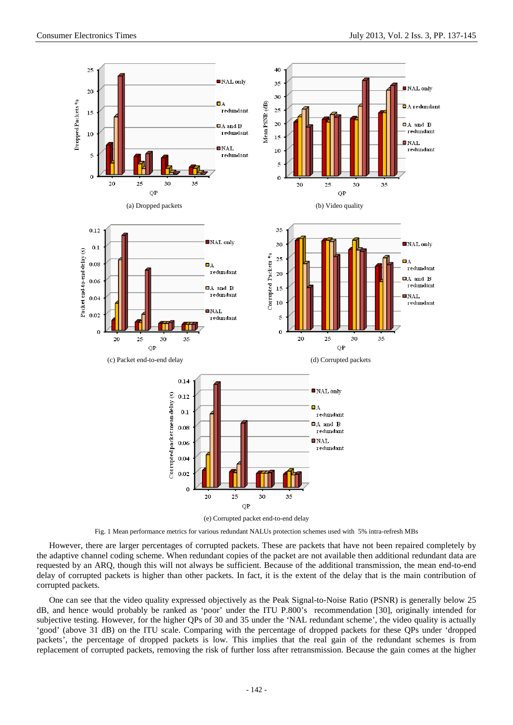

Fig. 1 Mean performance metrics for various redundant NALUs protection schemes used with 5% intra-refresh MBs

However, there are larger percentages of corrupted packets. These are packets that have not been repaired completely by the adaptive channel coding scheme. When redundant copies of the packet are not available then additional redundant data are requested by an ARQ, though this will not always be sufficient. Because of the additional transmission, the mean end-to-end delay of corrupted packets is higher than other packets. In fact, it is the extent of the delay that is the main contribution of corrupted packets.

One can see that the video quality expressed objectively as the Peak Signal-to-Noise Ratio (PSNR) is generally below 25 dB, and hence would probably be ranked as 'poor' under the ITU P.800's recommendation [30], originally intended for subjective testing. However, for the higher QPs of 30 and 35 under the 'NAL redundant scheme', the video quality is actually 'good' (above 31 dB) on the ITU scale. Comparing with the percentage of dropped packets for these QPs under 'dropped packets', the percentage of dropped packets is low. This implies that the real gain of the redundant schemes is from replacement of corrupted packets, removing the risk of further loss after retransmission. Because the gain comes at the higher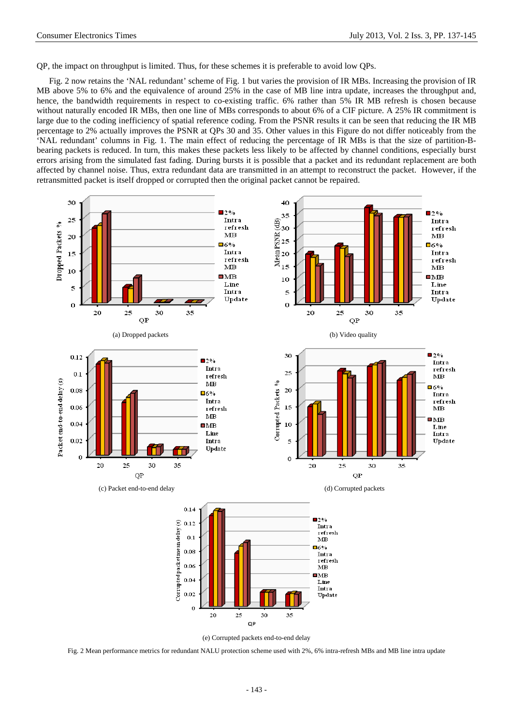QP, the impact on throughput is limited. Thus, for these schemes it is preferable to avoid low QPs.

Fig. 2 now retains the 'NAL redundant' scheme of Fig. 1 but varies the provision of IR MBs. Increasing the provision of IR MB above 5% to 6% and the equivalence of around 25% in the case of MB line intra update, increases the throughput and, hence, the bandwidth requirements in respect to co-existing traffic. 6% rather than 5% IR MB refresh is chosen because without naturally encoded IR MBs, then one line of MBs corresponds to about 6% of a CIF picture. A 25% IR commitment is large due to the coding inefficiency of spatial reference coding. From the PSNR results it can be seen that reducing the IR MB percentage to 2% actually improves the PSNR at QPs 30 and 35. Other values in this Figure do not differ noticeably from the 'NAL redundant' columns in Fig. 1. The main effect of reducing the percentage of IR MBs is that the size of partition-Bbearing packets is reduced. In turn, this makes these packets less likely to be affected by channel conditions, especially burst errors arising from the simulated fast fading. During bursts it is possible that a packet and its redundant replacement are both affected by channel noise. Thus, extra redundant data are transmitted in an attempt to reconstruct the packet. However, if the retransmitted packet is itself dropped or corrupted then the original packet cannot be repaired.



Fig. 2 Mean performance metrics for redundant NALU protection scheme used with 2%, 6% intra-refresh MBs and MB line intra update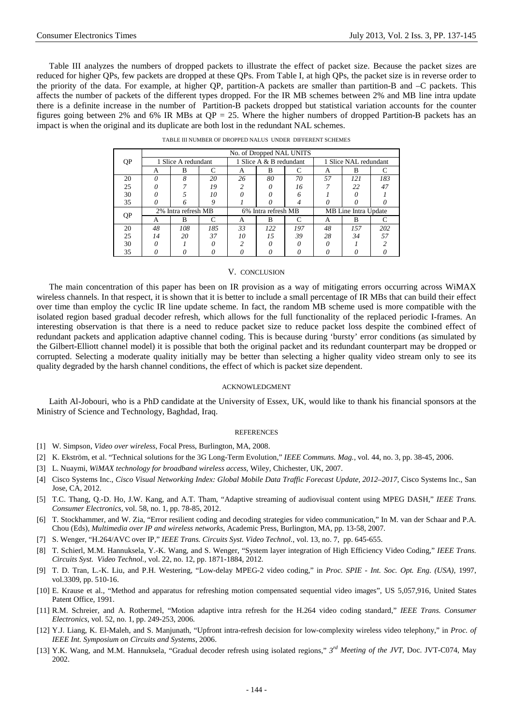Table III analyzes the numbers of dropped packets to illustrate the effect of packet size. Because the packet sizes are reduced for higher QPs, few packets are dropped at these QPs. From Table I, at high QPs, the packet size is in reverse order to the priority of the data. For example, at higher QP, partition-A packets are smaller than partition-B and –C packets. This affects the number of packets of the different types dropped. For the IR MB schemes between 2% and MB line intra update there is a definite increase in the number of Partition-B packets dropped but statistical variation accounts for the counter figures going between 2% and 6% IR MBs at  $QP = 25$ . Where the higher numbers of dropped Partition-B packets has an impact is when the original and its duplicate are both lost in the redundant NAL schemes.

|    |                     |     |                         |    | No. of Dropped NAL UNITS |           |    |     |     |
|----|---------------------|-----|-------------------------|----|--------------------------|-----------|----|-----|-----|
| QP | 1 Slice A redundant |     | 1 Slice A & B redundant |    | 1 Slice NAL redundant    |           |    |     |     |
|    | А                   | B   |                         | A  | В                        |           | А  | В   |     |
| 20 | Ω                   | 8   | 20                      | 26 | 80                       | 70        | 57 | 121 | 183 |
| 25 |                     |     | 19                      |    |                          | 16        |    | 22  | 47  |
| 30 |                     |     | 10                      |    |                          |           |    |     |     |
| 35 |                     |     | 9                       |    |                          |           |    |     |     |
|    | 2% Intra refresh MB |     | 6% Intra refresh MB     |    | MB Line Intra Update     |           |    |     |     |
| QP | А                   | B   | ┌                       | A  | B                        | $\subset$ | A  | B   |     |
| 20 | 48                  | 108 | 185                     | 33 | 122                      | 197       | 48 | 157 | 202 |
| 25 | 14                  | 20  | 37                      | 10 | 15                       | 39        | 28 | 34  | 57  |
| 30 |                     |     |                         |    |                          |           |    |     |     |
| 35 |                     |     |                         |    |                          |           |    |     |     |

| TABLE III NUMBER OF DROPPED NALUS  UNDER  DIFFERENT SCHEMES |  |  |  |
|-------------------------------------------------------------|--|--|--|
|                                                             |  |  |  |

#### V. CONCLUSION

The main concentration of this paper has been on IR provision as a way of mitigating errors occurring across WiMAX wireless channels. In that respect, it is shown that it is better to include a small percentage of IR MBs that can build their effect over time than employ the cyclic IR line update scheme. In fact, the random MB scheme used is more compatible with the isolated region based gradual decoder refresh, which allows for the full functionality of the replaced periodic I-frames. An interesting observation is that there is a need to reduce packet size to reduce packet loss despite the combined effect of redundant packets and application adaptive channel coding. This is because during 'bursty' error conditions (as simulated by the Gilbert-Elliott channel model) it is possible that both the original packet and its redundant counterpart may be dropped or corrupted. Selecting a moderate quality initially may be better than selecting a higher quality video stream only to see its quality degraded by the harsh channel conditions, the effect of which is packet size dependent.

#### ACKNOWLEDGMENT

Laith Al-Jobouri, who is a PhD candidate at the University of Essex, UK, would like to thank his financial sponsors at the Ministry of Science and Technology, Baghdad, Iraq.

### **REFERENCES**

- [1] W. Simpson, *Video over wireless*, Focal Press, Burlington, MA, 2008.
- [2] K. Ekström, et al. "Technical solutions for the 3G Long-Term Evolution," *IEEE Communs. Mag.,* vol. 44, no. 3, pp. 38-45, 2006.
- [3] L. Nuaymi, *WiMAX technology for broadband wireless access*, Wiley, Chichester, UK, 2007.
- [4] Cisco Systems Inc., *Cisco Visual Networking Index: Global Mobile Data Traffic Forecast Update, 2012–2017*, Cisco Systems Inc., San Jose, CA, 2012.
- [5] T.C. Thang, Q.-D. Ho, J.W. Kang, and A.T. Tham, "Adaptive streaming of audiovisual content using MPEG DASH," *IEEE Trans. Consumer Electronics,* vol. 58, no. 1, pp. 78-85, 2012.
- [6] T. Stockhammer, and W. Zia, "Error resilient coding and decoding strategies for video communication," In M. van der Schaar and P.A. Chou (Eds), *Multimedia over IP and wireless networks*, Academic Press, Burlington, MA, pp. 13-58, 2007.
- [7] S. Wenger, "H.264/AVC over IP," *IEEE Trans. Circuits Syst. Video Technol.*, vol. 13, no. 7, pp. 645-655.
- [8] T. Schierl, M.M. Hannuksela, Y.-K. Wang, and S. Wenger, "System layer integration of High Efficiency Video Coding," *IEEE Trans. Circuits Syst. Video Technol.,* vol. 22, no. 12, pp. 1871-1884, 2012.
- [9] T. D. Tran, L.-K. Liu, and P.H. Westering, "Low-delay MPEG-2 video coding," in *Proc. SPIE - Int. Soc. Opt. Eng. (USA)*, 1997, vol.3309, pp. 510-16.
- [10] E. Krause et al., "Method and apparatus for refreshing motion compensated sequential video images", US 5,057,916, United States Patent Office, 1991.
- [11] R.M. Schreier, and A. Rothermel, "Motion adaptive intra refresh for the H.264 video coding standard," *IEEE Trans. Consumer Electronics*, vol. 52, no. 1, pp. 249-253, 2006.
- [12] Y.J. Liang, K. El-Maleh, and S. Manjunath, "Upfront intra-refresh decision for low-complexity wireless video telephony," in *Proc. of IEEE Int. Symposium on Circuits and Systems*, 2006.
- [13] Y.K. Wang, and M.M. Hannuksela, "Gradual decoder refresh using isolated regions," *3rd Meeting of the JVT*, Doc. JVT-C074, May 2002.